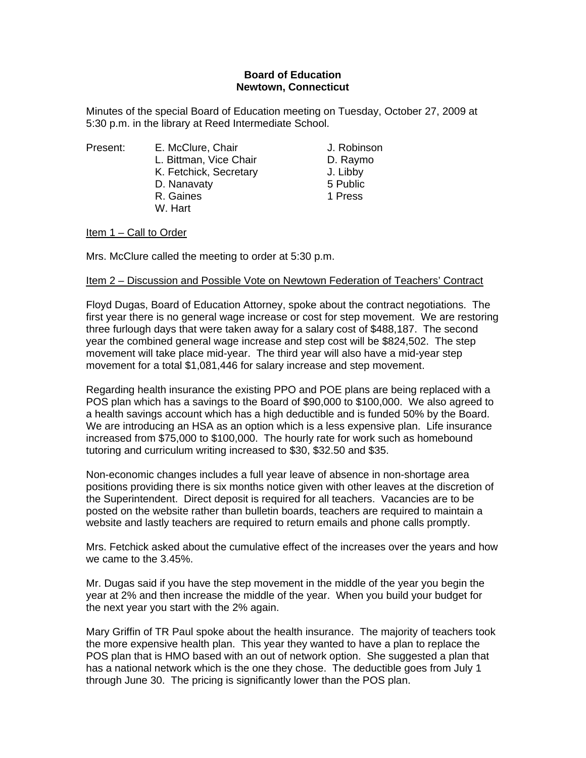## **Board of Education Newtown, Connecticut**

Minutes of the special Board of Education meeting on Tuesday, October 27, 2009 at 5:30 p.m. in the library at Reed Intermediate School.

Present: E. McClure, Chair **E. McClure, Chair** J. Robinson L. Bittman, Vice Chair **D. Raymo** K. Fetchick, Secretary J. Libby D. Nanavaty 6 Public R. Gaines **1 Press** W. Hart

Item 1 – Call to Order

Mrs. McClure called the meeting to order at 5:30 p.m.

## Item 2 – Discussion and Possible Vote on Newtown Federation of Teachers' Contract

Floyd Dugas, Board of Education Attorney, spoke about the contract negotiations. The first year there is no general wage increase or cost for step movement. We are restoring three furlough days that were taken away for a salary cost of \$488,187. The second year the combined general wage increase and step cost will be \$824,502. The step movement will take place mid-year. The third year will also have a mid-year step movement for a total \$1,081,446 for salary increase and step movement.

Regarding health insurance the existing PPO and POE plans are being replaced with a POS plan which has a savings to the Board of \$90,000 to \$100,000. We also agreed to a health savings account which has a high deductible and is funded 50% by the Board. We are introducing an HSA as an option which is a less expensive plan. Life insurance increased from \$75,000 to \$100,000. The hourly rate for work such as homebound tutoring and curriculum writing increased to \$30, \$32.50 and \$35.

Non-economic changes includes a full year leave of absence in non-shortage area positions providing there is six months notice given with other leaves at the discretion of the Superintendent. Direct deposit is required for all teachers. Vacancies are to be posted on the website rather than bulletin boards, teachers are required to maintain a website and lastly teachers are required to return emails and phone calls promptly.

Mrs. Fetchick asked about the cumulative effect of the increases over the years and how we came to the 3.45%.

Mr. Dugas said if you have the step movement in the middle of the year you begin the year at 2% and then increase the middle of the year. When you build your budget for the next year you start with the 2% again.

Mary Griffin of TR Paul spoke about the health insurance. The majority of teachers took the more expensive health plan. This year they wanted to have a plan to replace the POS plan that is HMO based with an out of network option. She suggested a plan that has a national network which is the one they chose. The deductible goes from July 1 through June 30. The pricing is significantly lower than the POS plan.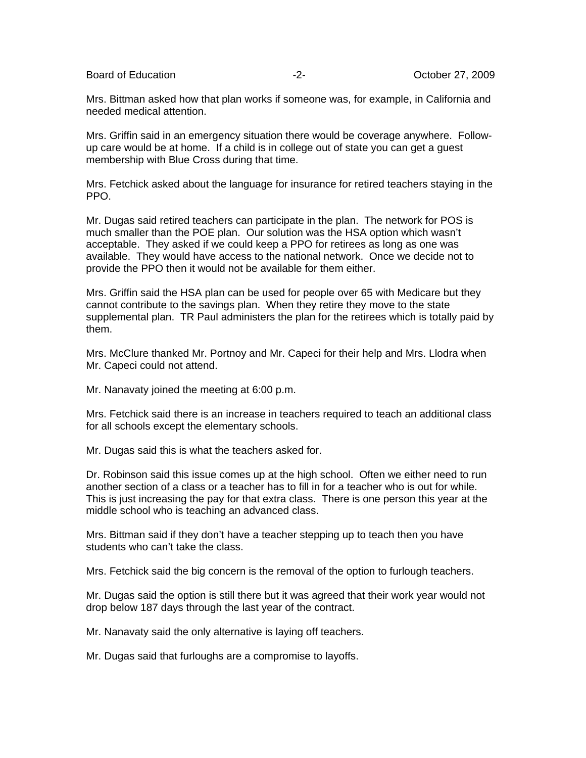Board of Education  $\overline{27}$ , 2009

Mrs. Bittman asked how that plan works if someone was, for example, in California and needed medical attention.

Mrs. Griffin said in an emergency situation there would be coverage anywhere. Followup care would be at home. If a child is in college out of state you can get a guest membership with Blue Cross during that time.

Mrs. Fetchick asked about the language for insurance for retired teachers staying in the PPO.

Mr. Dugas said retired teachers can participate in the plan. The network for POS is much smaller than the POE plan. Our solution was the HSA option which wasn't acceptable. They asked if we could keep a PPO for retirees as long as one was available. They would have access to the national network. Once we decide not to provide the PPO then it would not be available for them either.

Mrs. Griffin said the HSA plan can be used for people over 65 with Medicare but they cannot contribute to the savings plan. When they retire they move to the state supplemental plan. TR Paul administers the plan for the retirees which is totally paid by them.

Mrs. McClure thanked Mr. Portnoy and Mr. Capeci for their help and Mrs. Llodra when Mr. Capeci could not attend.

Mr. Nanavaty joined the meeting at 6:00 p.m.

Mrs. Fetchick said there is an increase in teachers required to teach an additional class for all schools except the elementary schools.

Mr. Dugas said this is what the teachers asked for.

Dr. Robinson said this issue comes up at the high school. Often we either need to run another section of a class or a teacher has to fill in for a teacher who is out for while. This is just increasing the pay for that extra class. There is one person this year at the middle school who is teaching an advanced class.

Mrs. Bittman said if they don't have a teacher stepping up to teach then you have students who can't take the class.

Mrs. Fetchick said the big concern is the removal of the option to furlough teachers.

Mr. Dugas said the option is still there but it was agreed that their work year would not drop below 187 days through the last year of the contract.

Mr. Nanavaty said the only alternative is laying off teachers.

Mr. Dugas said that furloughs are a compromise to layoffs.